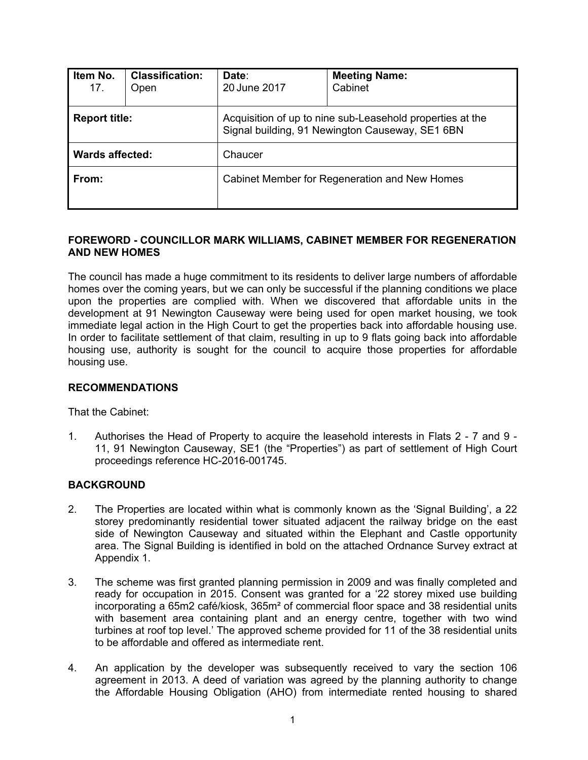| Item No.<br>17.        | <b>Classification:</b><br>Open | Date:<br>20 June 2017                                                                                        | <b>Meeting Name:</b><br>Cabinet |  |
|------------------------|--------------------------------|--------------------------------------------------------------------------------------------------------------|---------------------------------|--|
| <b>Report title:</b>   |                                | Acquisition of up to nine sub-Leasehold properties at the<br>Signal building, 91 Newington Causeway, SE1 6BN |                                 |  |
| <b>Wards affected:</b> |                                | Chaucer                                                                                                      |                                 |  |
| From:                  |                                | Cabinet Member for Regeneration and New Homes                                                                |                                 |  |

## **FOREWORD - COUNCILLOR MARK WILLIAMS, CABINET MEMBER FOR REGENERATION AND NEW HOMES**

The council has made a huge commitment to its residents to deliver large numbers of affordable homes over the coming years, but we can only be successful if the planning conditions we place upon the properties are complied with. When we discovered that affordable units in the development at 91 Newington Causeway were being used for open market housing, we took immediate legal action in the High Court to get the properties back into affordable housing use. In order to facilitate settlement of that claim, resulting in up to 9 flats going back into affordable housing use, authority is sought for the council to acquire those properties for affordable housing use.

#### **RECOMMENDATIONS**

That the Cabinet:

1. Authorises the Head of Property to acquire the leasehold interests in Flats 2 - 7 and 9 - 11, 91 Newington Causeway, SE1 (the "Properties") as part of settlement of High Court proceedings reference HC-2016-001745.

## **BACKGROUND**

- 2. The Properties are located within what is commonly known as the 'Signal Building', a 22 storey predominantly residential tower situated adjacent the railway bridge on the east side of Newington Causeway and situated within the Elephant and Castle opportunity area. The Signal Building is identified in bold on the attached Ordnance Survey extract at Appendix 1.
- 3. The scheme was first granted planning permission in 2009 and was finally completed and ready for occupation in 2015. Consent was granted for a '22 storey mixed use building incorporating a 65m2 café/kiosk, 365m² of commercial floor space and 38 residential units with basement area containing plant and an energy centre, together with two wind turbines at roof top level.' The approved scheme provided for 11 of the 38 residential units to be affordable and offered as intermediate rent.
- 4. An application by the developer was subsequently received to vary the section 106 agreement in 2013. A deed of variation was agreed by the planning authority to change the Affordable Housing Obligation (AHO) from intermediate rented housing to shared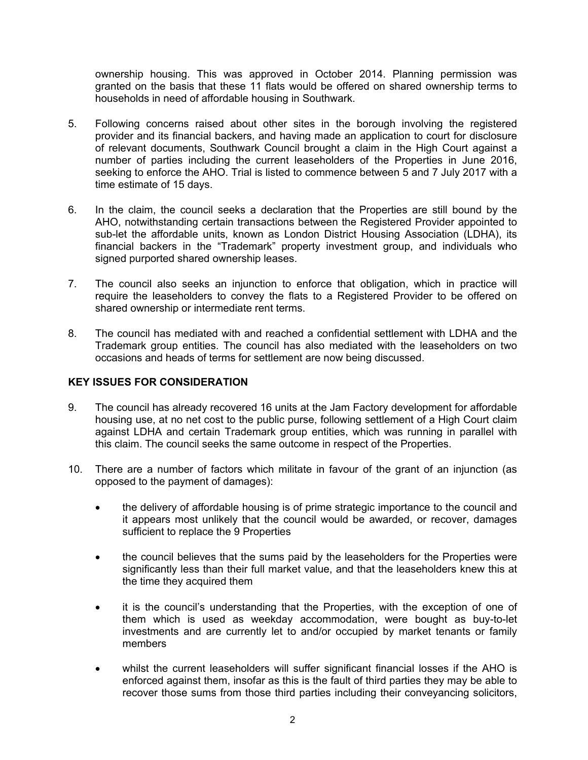ownership housing. This was approved in October 2014. Planning permission was granted on the basis that these 11 flats would be offered on shared ownership terms to households in need of affordable housing in Southwark.

- 5. Following concerns raised about other sites in the borough involving the registered provider and its financial backers, and having made an application to court for disclosure of relevant documents, Southwark Council brought a claim in the High Court against a number of parties including the current leaseholders of the Properties in June 2016, seeking to enforce the AHO. Trial is listed to commence between 5 and 7 July 2017 with a time estimate of 15 days.
- 6. In the claim, the council seeks a declaration that the Properties are still bound by the AHO, notwithstanding certain transactions between the Registered Provider appointed to sub-let the affordable units, known as London District Housing Association (LDHA), its financial backers in the "Trademark" property investment group, and individuals who signed purported shared ownership leases.
- 7. The council also seeks an injunction to enforce that obligation, which in practice will require the leaseholders to convey the flats to a Registered Provider to be offered on shared ownership or intermediate rent terms.
- 8. The council has mediated with and reached a confidential settlement with LDHA and the Trademark group entities. The council has also mediated with the leaseholders on two occasions and heads of terms for settlement are now being discussed.

## **KEY ISSUES FOR CONSIDERATION**

- 9. The council has already recovered 16 units at the Jam Factory development for affordable housing use, at no net cost to the public purse, following settlement of a High Court claim against LDHA and certain Trademark group entities, which was running in parallel with this claim. The council seeks the same outcome in respect of the Properties.
- 10. There are a number of factors which militate in favour of the grant of an injunction (as opposed to the payment of damages):
	- the delivery of affordable housing is of prime strategic importance to the council and it appears most unlikely that the council would be awarded, or recover, damages sufficient to replace the 9 Properties
	- the council believes that the sums paid by the leaseholders for the Properties were significantly less than their full market value, and that the leaseholders knew this at the time they acquired them
	- it is the council's understanding that the Properties, with the exception of one of them which is used as weekday accommodation, were bought as buy-to-let investments and are currently let to and/or occupied by market tenants or family members
	- whilst the current leaseholders will suffer significant financial losses if the AHO is enforced against them, insofar as this is the fault of third parties they may be able to recover those sums from those third parties including their conveyancing solicitors,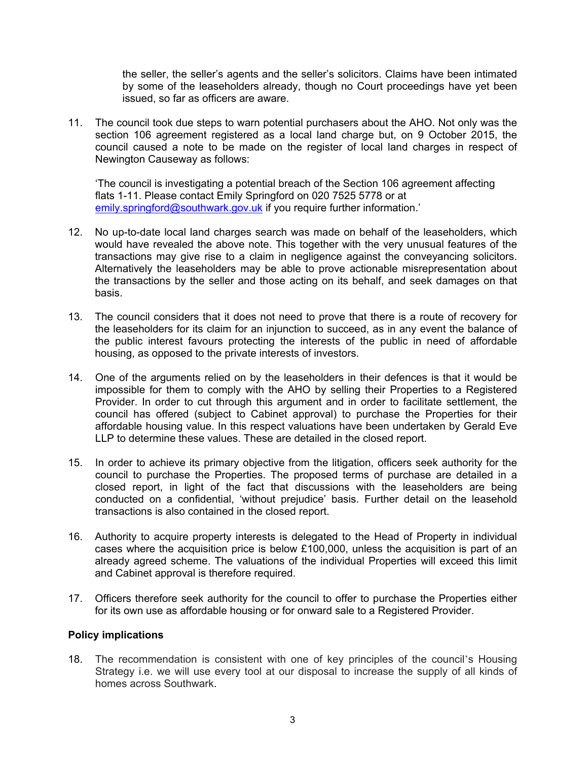the seller, the seller's agents and the seller's solicitors. Claims have been intimated by some of the leaseholders already, though no Court proceedings have yet been issued, so far as officers are aware.

11. The council took due steps to warn potential purchasers about the AHO. Not only was the section 106 agreement registered as a local land charge but, on 9 October 2015, the council caused a note to be made on the register of local land charges in respect of Newington Causeway as follows:

'The council is investigating a potential breach of the Section 106 agreement affecting flats 1-11. Please contact Emily Springford on 020 7525 5778 or at [emily.springford@southwark.gov.uk](mailto:emily.springford@southwark.gov.uk) if you require further information.'

- 12. No up-to-date local land charges search was made on behalf of the leaseholders, which would have revealed the above note. This together with the very unusual features of the transactions may give rise to a claim in negligence against the conveyancing solicitors. Alternatively the leaseholders may be able to prove actionable misrepresentation about the transactions by the seller and those acting on its behalf, and seek damages on that basis.
- 13. The council considers that it does not need to prove that there is a route of recovery for the leaseholders for its claim for an injunction to succeed, as in any event the balance of the public interest favours protecting the interests of the public in need of affordable housing, as opposed to the private interests of investors.
- 14. One of the arguments relied on by the leaseholders in their defences is that it would be impossible for them to comply with the AHO by selling their Properties to a Registered Provider. In order to cut through this argument and in order to facilitate settlement, the council has offered (subject to Cabinet approval) to purchase the Properties for their affordable housing value. In this respect valuations have been undertaken by Gerald Eve LLP to determine these values. These are detailed in the closed report.
- 15. In order to achieve its primary objective from the litigation, officers seek authority for the council to purchase the Properties. The proposed terms of purchase are detailed in a closed report, in light of the fact that discussions with the leaseholders are being conducted on a confidential, 'without prejudice' basis. Further detail on the leasehold transactions is also contained in the closed report.
- 16. Authority to acquire property interests is delegated to the Head of Property in individual cases where the acquisition price is below £100,000, unless the acquisition is part of an already agreed scheme. The valuations of the individual Properties will exceed this limit and Cabinet approval is therefore required.
- 17. Officers therefore seek authority for the council to offer to purchase the Properties either for its own use as affordable housing or for onward sale to a Registered Provider.

#### **Policy implications**

18. The recommendation is consistent with one of key principles of the council's Housing Strategy i.e. we will use every tool at our disposal to increase the supply of all kinds of homes across Southwark.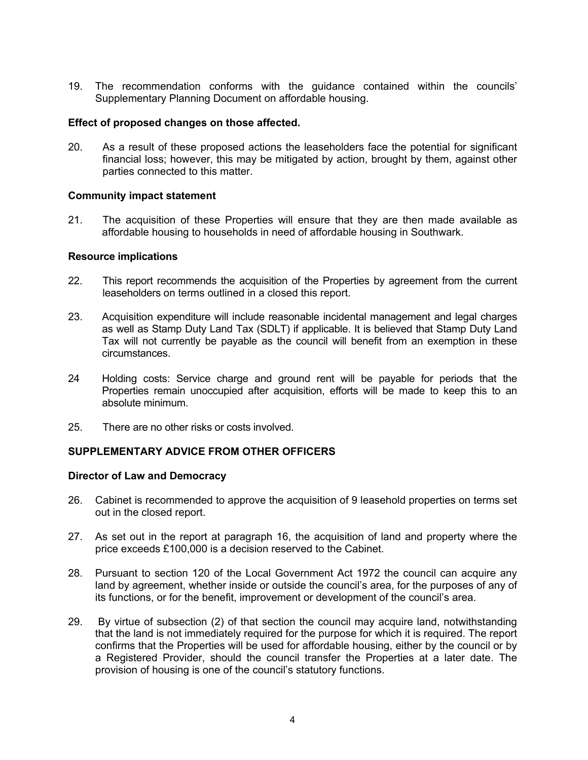19. The recommendation conforms with the guidance contained within the councils' Supplementary Planning Document on affordable housing.

## **Effect of proposed changes on those affected.**

20. As a result of these proposed actions the leaseholders face the potential for significant financial loss; however, this may be mitigated by action, brought by them, against other parties connected to this matter.

## **Community impact statement**

21. The acquisition of these Properties will ensure that they are then made available as affordable housing to households in need of affordable housing in Southwark.

#### **Resource implications**

- 22. This report recommends the acquisition of the Properties by agreement from the current leaseholders on terms outlined in a closed this report.
- 23. Acquisition expenditure will include reasonable incidental management and legal charges as well as Stamp Duty Land Tax (SDLT) if applicable. It is believed that Stamp Duty Land Tax will not currently be payable as the council will benefit from an exemption in these circumstances.
- 24 Holding costs: Service charge and ground rent will be payable for periods that the Properties remain unoccupied after acquisition, efforts will be made to keep this to an absolute minimum.
- 25. There are no other risks or costs involved.

## **SUPPLEMENTARY ADVICE FROM OTHER OFFICERS**

## **Director of Law and Democracy**

- 26. Cabinet is recommended to approve the acquisition of 9 leasehold properties on terms set out in the closed report.
- 27. As set out in the report at paragraph 16, the acquisition of land and property where the price exceeds £100,000 is a decision reserved to the Cabinet.
- 28. Pursuant to section 120 of the Local Government Act 1972 the council can acquire any land by agreement, whether inside or outside the council's area, for the purposes of any of its functions, or for the benefit, improvement or development of the council's area.
- 29. By virtue of subsection (2) of that section the council may acquire land, notwithstanding that the land is not immediately required for the purpose for which it is required. The report confirms that the Properties will be used for affordable housing, either by the council or by a Registered Provider, should the council transfer the Properties at a later date. The provision of housing is one of the council's statutory functions.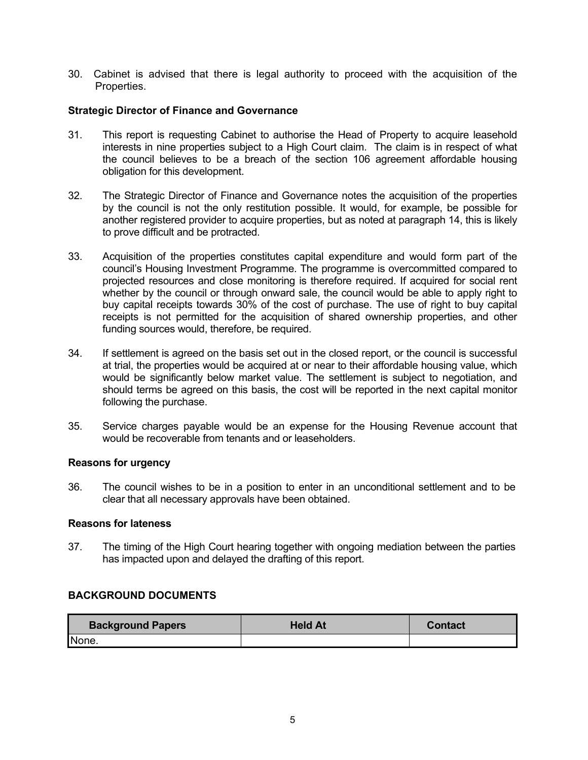30. Cabinet is advised that there is legal authority to proceed with the acquisition of the Properties.

## **Strategic Director of Finance and Governance**

- 31. This report is requesting Cabinet to authorise the Head of Property to acquire leasehold interests in nine properties subject to a High Court claim. The claim is in respect of what the council believes to be a breach of the section 106 agreement affordable housing obligation for this development.
- 32. The Strategic Director of Finance and Governance notes the acquisition of the properties by the council is not the only restitution possible. It would, for example, be possible for another registered provider to acquire properties, but as noted at paragraph 14, this is likely to prove difficult and be protracted.
- 33. Acquisition of the properties constitutes capital expenditure and would form part of the council's Housing Investment Programme. The programme is overcommitted compared to projected resources and close monitoring is therefore required. If acquired for social rent whether by the council or through onward sale, the council would be able to apply right to buy capital receipts towards 30% of the cost of purchase. The use of right to buy capital receipts is not permitted for the acquisition of shared ownership properties, and other funding sources would, therefore, be required.
- 34. If settlement is agreed on the basis set out in the closed report, or the council is successful at trial, the properties would be acquired at or near to their affordable housing value, which would be significantly below market value. The settlement is subject to negotiation, and should terms be agreed on this basis, the cost will be reported in the next capital monitor following the purchase.
- 35. Service charges payable would be an expense for the Housing Revenue account that would be recoverable from tenants and or leaseholders.

#### **Reasons for urgency**

36. The council wishes to be in a position to enter in an unconditional settlement and to be clear that all necessary approvals have been obtained.

#### **Reasons for lateness**

37. The timing of the High Court hearing together with ongoing mediation between the parties has impacted upon and delayed the drafting of this report.

## **BACKGROUND DOCUMENTS**

| <b>Background Papers</b> | <b>Held At</b> | <b>Contact</b> |
|--------------------------|----------------|----------------|
| None.                    |                |                |